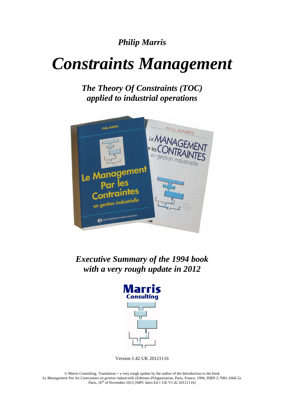# *Philip Marris*

# *Constraints Management*

*The Theory Of Constraints (TOC) applied to industrial operations* 



*Executive Summary of the 1994 book with a very rough update in 2012* 



Version 1.42 UK 20121116

© Marris Consulting. Translation + a very rough update by the author of the Introduction to the book Le Management Par les Contraintes en gestion industrielle (Editions d'Organisation, Paris, France, 1994, ISBN 2-7081-1666-5).<br>Paris, 16<sup>th</sup> of November 2012 [MPC Intro Ed 1 UK V1.42 20121116]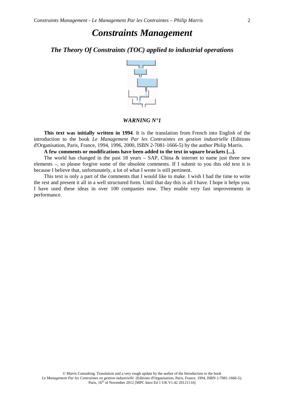## *The Theory Of Constraints (TOC) applied to industrial operations*



### *WARNING N°1*

**This text was initially written in 1994**. It is the translation from French into English of the introduction to the book *Le Management Par les Contraintes en gestion industrielle* (Editions d'Organisation, Paris, France, 1994, 1996, 2000, ISBN 2-7081-1666-5) by the author Philip Marris.

**A few comments or modifications have been added to the text in square brackets [...].** 

The world has changed in the past  $18$  years – SAP, China  $\&$  internet to name just three new elements –, so please forgive some of the obsolete comments. If I submit to you this old text it is because I believe that, unfortunately, a lot of what I wrote is still pertinent.

This text is only a part of the comments that I would like to make. I wish I had the time to write the rest and present it all in a well structured form. Until that day this is all I have. I hope it helps you. I have used these ideas in over 100 companies now. They enable very fast improvements in performance.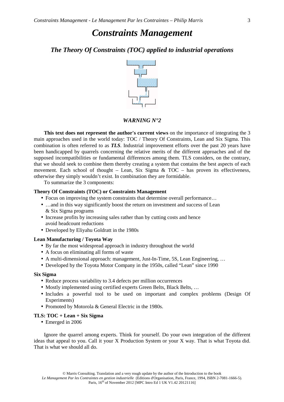## *The Theory Of Constraints (TOC) applied to industrial operations*



## *WARNING N°2*

**This text does not represent the author's current views** on the importance of integrating the 3 main approaches used in the world today: TOC / Theory Of Constraints, Lean and Six Sigma. This combination is often referred to as *TLS*. Industrial improvement efforts over the past 20 years have been handicapped by quarrels concerning the relative merits of the different approaches and of the supposed incompatibilities or fundamental differences among them. TLS considers, on the contrary, that we should seek to combine them thereby creating a system that contains the best aspects of each movement. Each school of thought – Lean, Six Sigma & TOC – has proven its effectiveness, otherwise they simply wouldn't exist. In combination they are formidable.

To summarize the 3 components:

#### **Theory Of Constraints (TOC) or Constraints Management**

- Focus on improving the system constraints that determine overall performance...
- ... and in this way significantly boost the return on investment and success of Lean & Six Sigma programs
- Increase profits by increasing sales rather than by cutting costs and hence avoid headcount reductions
- Developed by Eliyahu Goldratt in the 1980s

#### **Lean Manufacturing / Toyota Way**

- By far the most widespread approach in industry throughout the world
- A focus on eliminating all forms of waste
- A multi-dimensional approach: management, Just-In-Time, 5S, Lean Engineering, …
- Developed by the Toyota Motor Company in the 1950s, called "Lean" since 1990

#### **Six Sigma**

- Reduce process variability to 3.4 defects per million occurrences
- Mostly implemented using certified experts Green Belts, Black Belts, ...
- Includes a powerful tool to be used on important and complex problems (Design Of Experiments)
- Promoted by Motorola & General Electric in the 1980s.

#### **TLS: TOC + Lean + Six Sigma**

• Emerged in 2006

Ignore the quarrel among experts. Think for yourself. Do your own integration of the different ideas that appeal to you. Call it your X Production System or your X way. That is what Toyota did. That is what we should all do.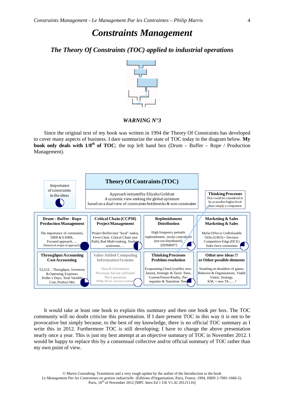## *The Theory Of Constraints (TOC) applied to industrial operations*



#### *WARNING N°3*

Since the original text of my book was written in 1994 the Theory Of Constraints has developed to cover many aspects of business. I dare summarize the state of TOC today in the diagram below. **My book only deals with**  $1/8$ **<sup>th</sup> of TOC**; the top left hand box (Drum – Buffer – Rope / Production Management).



It would take at least one book to explain this summary and then one book per box. The TOC community will no doubt criticise this presentation. If I dare present TOC in this way it is not to be provocative but simply because, to the best of my knowledge, there is no official TOC summary as I write this in 2012. Furthermore TOC is still developing; I have to change the above presentation nearly once a year. This is just my best attempt at an objective summary of TOC in November 2012. I would be happy to replace this by a consensual collective and/or official summary of TOC rather than my own point of view.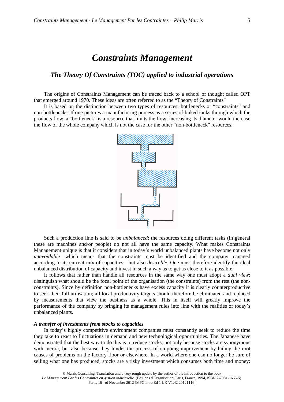## *The Theory Of Constraints (TOC) applied to industrial operations*

The origins of Constraints Management can be traced back to a school of thought called OPT that emerged around 1970. These ideas are often referred to as the "Theory of Constraints"

It is based on the distinction between two types of resources: bottlenecks or "constraints" and non-bottlenecks. If one pictures a manufacturing process as a series of linked tanks through which the products flow, a "bottleneck" is a resource that limits the flow; increasing its diameter would increase the flow of the whole company which is not the case for the other "non-bottleneck" resources.



Such a production line is said to be *unbalanced*: the resources doing different tasks (in general these are machines and/or people) do not all have the same capacity. What makes Constraints Management unique is that it considers that in today's world unbalanced plants have become not only *unavoidable*—which means that the constraints must be identified and the company managed according to its current mix of capacities—but also *desirable.* One must therefore identify the ideal unbalanced distribution of capacity and invest in such a way as to get as close to it as possible.

It follows that rather than handle all resources in the same way one must adopt a *dual view*: distinguish what should be the focal point of the organisation (the constraints) from the rest (the nonconstraints). Since by definition non-bottlenecks have excess capacity it is clearly counterproductive to seek their full utilisation; all local productivity targets should therefore be eliminated and replaced by measurements that view the business as a whole. This in itself will greatly improve the performance of the company by bringing its management rules into line with the realities of today's unbalanced plants.

#### *A transfer of investments from stocks to capacities*

In today's highly competitive environment companies must constantly seek to reduce the time they take to react to fluctuations in demand and new technological opportunities. The Japanese have demonstrated that the best way to do this is to reduce stocks, not only because stocks are synonymous with inertia, but also because they hinder the process of on-going improvement by hiding the root causes of problems on the factory floor or elsewhere. In a world where one can no longer be sure of selling what one has produced, stocks are a risky investment which consumes both time and money: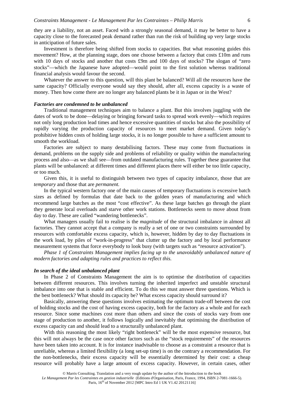they are a liability, not an asset. Faced with a strongly seasonal demand, it may be better to have a capacity close to the forecasted peak demand rather than run the risk of building up very large stocks in anticipation of future sales.

Investment is therefore being shifted from stocks to capacities. But what reasoning guides this movement? How, at the planning stage, does one choose between a factory that costs  $\pounds 10m$  and runs with 10 days of stocks and another that costs £9m and 100 days of stocks? The slogan of "zero" stocks"—which the Japanese have adopted—would point to the first solution whereas traditional financial analysis would favour the second.

Whatever the answer to this question, will this plant be balanced? Will all the resources have the same capacity? Officially everyone would say they should, after all, excess capacity is a waste of money. Then how come there are no longer any balanced plants be it in Japan or in the West?

#### *Factories are condemned to be unbalanced*

Traditional management techniques aim to balance a plant. But this involves juggling with the dates of work to be done—delaying or bringing forward tasks to spread work evenly—which requires not only long production lead times and hence excessive quantities of stocks but also the possibility of rapidly varying the production capacity of resources to meet market demand. Given today's prohibitive hidden costs of holding large stocks, it is no longer possible to have a sufficient amount to smooth the workload.

Factories are subject to many destabilising factors. These may come from fluctuations in demand, problems on the supply side and problems of reliability or quality within the manufacturing process and also—as we shall see—from outdated manufacturing rules. Together these guarantee that plants will be unbalanced: at different times and different places there will either be too little capacity, or too much.

Given this, it is useful to distinguish between two types of capacity imbalance, those that are *temporary* and those that are *permanent.*

In the typical western factory one of the main causes of temporary fluctuations is excessive batch sizes as defined by formulas that date back to the golden years of manufacturing and which recommend large batches as the most "cost effective". As these large batches go through the plant they generate local overloads and starve other work stations. Bottlenecks seem to move about from day to day. These are called "wandering bottlenecks".

What managers usually fail to realise is the *magnitude* of the structural imbalance in almost all factories. They cannot accept that a company is really a set of one or two constraints surrounded by resources with comfortable excess capacity, which is, however, hidden by day to day fluctuations in the work load, by piles of "work-in-progress" that clutter up the factory and by local performance measurement systems that force everybody to look busy (with targets such as "resource activation").

*Phase 1 of Constraints Management implies facing up to the unavoidably unbalanced nature of modern factories and adapting rules and practices to reflect this.*

#### *In search of the ideal unbalanced plant*

In Phase 2 of Constraints Management the aim is to optimise the distribution of capacities between different resources. This involves turning the inherited imperfect and unstable structural imbalance into one that is stable and efficient. To do this we must answer three questions. Which is the best bottleneck? What should its capacity be? What excess capacity should surround it?

Basically, answering these questions involves estimating the optimum trade-off between the cost of holding stocks and the cost of having excess capacity, both for the factory as a whole and for each resource. Since some machines cost more than others and since the costs of stocks vary from one stage of production to another, it follows logically and inevitably that optimising the distribution of excess capacity can and should lead to a structurally unbalanced plant.

With this reasoning the most likely "right bottleneck" will be the most expensive resource, but this will not always be the case once other factors such as the "stock requirements" of the resources have been taken into account. It is for instance inadvisable to choose as a constraint a resource that is unreliable, whereas a limited flexibility (a long set-up time) is on the contrary a recommendation. For the non-bottlenecks, their excess capacity will be essentially determined by their cost: a cheap resource will probably have a large amount of excess capacity. However, in certain cases, other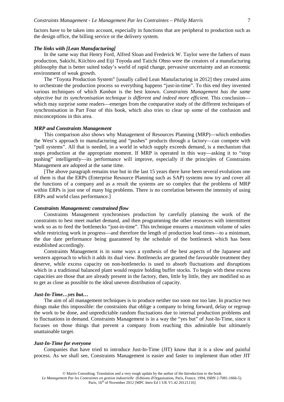factors have to be taken into account, especially in functions that are peripheral to production such as the design office, the billing service or the delivery system.

#### *The links with [Lean Manufacturing]*

In the same way that Henry Ford, Alfred Sloan and Frederick W. Taylor were the fathers of mass production, Sakichi, Kiichiro and Eiji Toyoda and Taiichi Ohno were the creators of a manufacturing philosophy that is better suited today's world of rapid change, pervasive uncertainty and an economic environment of weak growth.

The "Toyota Production System" [usually called Lean Manufacturing in 2012] they created aims to orchestrate the production process so everything happens "just-in-time". To this end they invented various techniques of which *Kanban* is the best known. *Constraints Management has the same objective but its synchronisation technique is different and indeed more efficient.* This conclusion which may surprise some readers—emerges from the comparative study of the different techniques of synchronisation in Part Four of this book, which also tries to clear up some of the confusion and misconceptions in this area.

#### *MRP and Constraints Management*

This comparison also shows why Management of Resources Planning (MRP)—which embodies the West's approach to manufacturing and "pushes" products through a factory—can compete with "pull systems". All that is needed, in a world in which supply exceeds demand, is a mechanism that stops production at the appropriate moment. If MRP is operated in this way—asking it to "stop pushing" intelligently—its performance will improve, especially if the principles of Constraints Management are adopted at the same time.

[The above paragraph remains true but in the last 15 years there have been several evolutions one of them is that the ERPs (Enterprise Resource Planning such as SAP) systems now try and cover all the functions of a company and as a result the systems are so complex that the problems of MRP within ERPs is just one of many big problems. There is no correlation between the intensity of using ERPs and world class performance.]

#### *Constraints Management: constrained flow*

Constraints Management synchronises production by carefully planning the work of the constraints to best meet market demand, and then programming the other resources with intermittent work so as to feed the bottlenecks "just-in-time". This technique ensures a maximum volume of sales while restricting work in progress—and therefore the length of production lead times—to a minimum, the due date performance being guaranteed by the schedule of the bottleneck which has been established accordingly.

Constraints Management is in some ways a synthesis of the best aspects of the Japanese and western approach to which it adds its dual view. Bottlenecks are granted the favourable treatment they deserve, while excess capacity on non-bottlenecks is used to absorb fluctuations and disruptions which in a traditional balanced plant would require holding buffer stocks. To begin with these excess capacities are those that are already present in the factory, then, little by little, they are modified so as to get as close as possible to the ideal uneven distribution of capacity.

#### *Just-In-Time…yes but…*

The aim of all management techniques is to produce neither too soon nor too late. In practice two things make this impossible: the constraints that oblige a company to bring forward, delay or regroup the work to be done, and unpredictable random fluctuations due to internal production problems and to fluctuations in demand. Constraints Management is in a way the "yes but" of Just-In-Time, since it focuses on those things that prevent a company from reaching this admirable but ultimately unattainable target.

#### *Just-In-Time for everyone*

Companies that have tried to introduce Just-In-Time (JIT) know that it is a slow and painful process. As we shall see, Constraints Management is easier and faster to implement than other JIT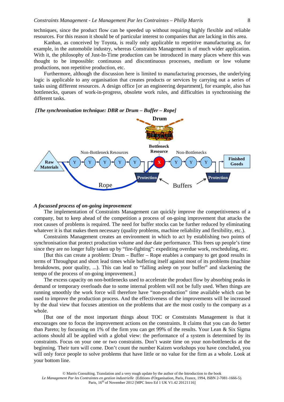techniques, since the product flow can be speeded up without requiring highly flexible and reliable resources. For this reason it should be of particular interest to companies that are lacking in this area.

Kanban, as conceived by Toyota, is really only applicable to repetitive manufacturing as, for example, in the automobile industry, whereas Constraints Management is of much wider application. With it, the philosophy of Just-In-Time production can be introduced in many places where this was thought to be impossible: continuous and discontinuous processes, medium or low volume productions, non repetitive production, etc.

Furthermore, although the discussion here is limited to manufacturing processes, the underlying logic is applicable to any organisation that creates products or services by carrying out a series of tasks using different resources. A design office [or an engineering department], for example, also has bottlenecks, queues of work-in-progress, obsolete work rules, and difficulties in synchronising the different tasks.

#### *[The synchronisation technique: DBR or Drum – Buffer – Rope]*



#### *A focussed process of on-going improvement*

The implementation of Constraints Management can quickly improve the competitiveness of a company, but to keep ahead of the competition a process of on-going improvement that attacks the root causes of problems is required. The need for buffer stocks can be further reduced by eliminating whatever it is that makes them necessary (quality problems, machine reliability and flexibility, etc.).

Constraints Management creates an environment in which to act by establishing two points of synchronisation that protect production volume and due date performance. This frees up people's time since they are no longer fully taken up by "fire-fighting": expediting overdue work, rescheduling, etc.

[But this can create a problem: Drum – Buffer – Rope enables a company to get good results in terms of Throughput and short lead times while buffering itself against most of its problems (machine breakdowns, poor quality, ...). This can lead to "falling asleep on your buffer" and slackening the tempo of the process of on-going improvement.]

The excess capacity on non-bottlenecks used to accelerate the product flow by absorbing peaks in demand or temporary overloads due to some internal problem will not be fully used. When things are running smoothly the work force will therefore have "non-production" time available which can be used to improve the production process. And the effectiveness of the improvements will be increased by the dual view that focuses attention on the problems that are the most costly to the company as a whole.

[But one of the most important things about TOC or Constraints Management is that it encourages one to focus the improvement actions on the constraints. It claims that you can do better than Pareto; by focussing on 1% of the firm you can get 99% of the results. Your Lean & Six Sigma actions should all be applied with a global view: the performance of a system is determined by its constraints. Focus on your one or two constraints. Don't waste time on your non-bottlenecks at the beginning. Their turn will come. Don't count the number Kaizen workshops you have concluded, you will only force people to solve problems that have little or no value for the firm as a whole. Look at your bottom line.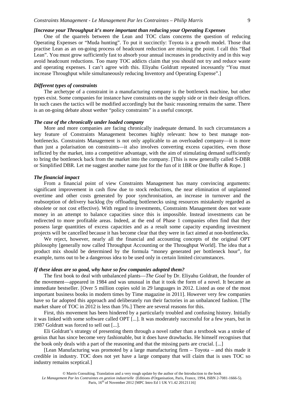#### *Constraints Management - Le Management Par les Contraintes – Philip Marris*

#### *[Increase your Throughput it's more important than reducing your Operating Expenses*

One of the quarrels between the Lean and TOC clans concerns the question of reducing Operating Expenses or "Muda hunting". To put it succinctly: Toyota is a growth model. Those that practise Lean as an on-going process of headcount reduction are missing the point. I call this "Bad Lean". You must grow sufficiently fast to absorb your annual increases in productivity and in this way avoid headcount reductions. Too many TOC addicts claim that you should not try and reduce waste and operating expenses. I can't agree with this. Eliyahu Goldratt repeated incessantly "You must increase Throughput while simultaneously reducing Inventory and Operating Expense".]

#### *Different types of constraints*

The archetype of a constraint in a manufacturing company is the bottleneck machine, but other types exist. Some companies for instance have constraints on the supply side or in their design offices. In such cases the tactics will be modified accordingly but the basic reasoning remains the same. There is an on-going debate about wether "policy constraints" is a useful concept.

#### *The case of the chronically under loaded company*

More and more companies are facing chronically inadequate demand. In such circumstances a key feature of Constraints Management becomes highly relevant: how to best manage nonbottlenecks. Constraints Management is not only applicable to an overloaded company—it is more than just a polarisation on constraints—it also involves converting excess capacities, even those inflicted by the market, into a competitive advantage, with the aim of stimulating demand sufficiently to bring the bottleneck back from the market into the company. [This is now generally called S-DBR or Simplified DBR. Let me suggest another name just for the fun of it 1BR or One Buffer & Rope. ]

#### *The financial impact*

From a financial point of view Constraints Management has many convincing arguments: significant improvement in cash flow due to stock reductions, the near elimination of unplanned overtime and other costs generated by poor synchronisation, an increase in turnover and the reabsorption of delivery backlog (by offloading bottlenecks using resources mistakenly regarded as obsolete or not cost effective). With regard to investments, Constraints Management does not waste money in an attempt to balance capacities since this is impossible. Instead investments can be redirected to more profitable areas. Indeed, at the end of Phase 1 companies often find that they possess large quantities of excess capacities and as a result some capacity expanding investment projects will be cancelled because it has become clear that they were in fact aimed at non-bottlenecks.

We reject, however, nearly all the financial and accounting concepts of the original OPT philosophy [generally now called Throughput Accounting or the Throughput World]. The idea that a product mix should be determined by the formula "money generated per bottleneck hour", for example, turns out to be a dangerous idea to be used only in certain limited circumstances.

#### *If these ideas are so good, why have so few companies adopted them?*

The first book to deal with unbalanced plants—*The Goal* by Dr. Eliyahu Goldratt, the founder of the movement—appeared in 1984 and was unusual in that it took the form of a novel. It became an immediate bestseller. [Over 5 million copies sold in 29 languages in 2012. Listed as one of the most important business books in modern times by Time magazine in 2011]. However very few companies have so far adopted this approach and deliberately run their factories in an unbalanced fashion. [The market share of TOC in 2012 is less than 5%.] There are several reasons for this.

First, this movement has been hindered by a particularly troubled and confusing history. Initially it was linked with some software called OPT [...]. It was moderately successful for a few years, but in 1987 Goldratt was forced to sell out [...].

Eli Goldratt's strategy of presenting them through a novel rather than a textbook was a stroke of genius that has since become very fashionable, but it does have drawbacks. He himself recognises that the book only deals with a part of the reasoning and that the missing parts are crucial. [...]

[Lean Manufacturing was promoted by a large manufacturing firm – Toyota – and this made it credible in industry. TOC does not yet have a large company that will claim that is uses TOC so industry remains sceptical.]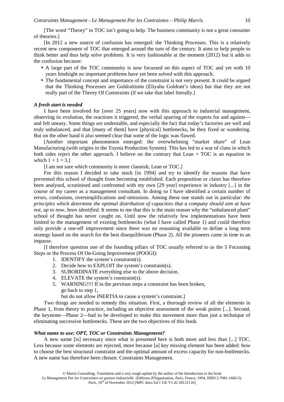[The word "Theory" in TOC isn't going to help. The business community is not a great consumer of theories.]

[In 2012 a new source of confusion has emerged: the Thinking Processes. This is a relatively recent new component of TOC that emerged around the turn of the century. It aims to help people to think better and thus help solve problems. It is very fashionable at the moment (2012) but it adds to the confusion because:

- A large part of the TOC community is now focussed on this aspect of TOC and yet with 10 years hindsight no important problems have yet been solved with this approach.
- The fundamental concept and importance of the constraint is not very present. It could be argued that the Thinking Processes are Goldrattisms (Eliyahu Goldratt's ideas) but that they are not really part of the Theory Of Constraints (if we take that label literally.]

#### *A fresh start is needed*

I have been involved for [over 25 years] now with this approach to industrial management, observing its evolution, the reactions it triggered, the verbal sparring of the experts for and against and felt uneasy. Some things are undeniable, and especially the fact that today's factories are well and truly unbalanced, and that [many of them] have [physical] bottlenecks, be they fixed or wandering. But on the other hand it also seemed clear that some of the logic was flawed.

[Another important phenomenon emerged: the overwhelming "market share" of Lean Manufacturing (with origins in the Toyota Production System). This has led to a war of clans in which both sides reject the other approach. I believe on the contrary that Lean + TOC is an equation in which  $1 + 1 = 3.1$ 

[I am not sure which community is more clannish, Lean or TOC.]

For this reason I decided to take stock [in 1994] and try to identify the reasons that have prevented this school of thought from becoming established. Each proposition or claim has therefore been analysed, scrutinised and confronted with my own [29 year] experience in industry [...] in the course of my career as a management consultant. In doing so I have identified a certain number of errors, confusions, oversimplifications and omissions. Among these one stands out in particular: *the principles which determine the optimal distribution of capacities that a company should aim at have not, up to now, been identified.* It seems to me that this is the main reason why the "unbalanced plant" school of thought has never caught on. Until now the relatively few implementations have been limited to the management of existing bottlenecks (what I have called Phase 1) and could therefore only provide a one-off improvement since there was no reasoning available to define a long term strategy based on the search for the best disequilibrium (Phase 2). All the pioneers came in time to an impasse.

[I therefore question one of the founding pillars of TOC usually referred to as the 5 Focussing Steps or the Process Of On-Going Improvement (POOGI):

- 1. IDENTIFY the system's constraint(s).
- 2. Decide how to EXPLOIT the system's constraint(s).
- 3. SUBORDINATE everything else to the above decision.
- 4. ELEVATE the system's constraint(s).
- 5. WARNING!!!! If in the previous steps a constraint has been broken, go back to step 1,

but do not allow INERTIA to cause a system's constraint.]

Two things are needed to remedy this situation. First, a thorough review of all the elements in Phase 1, from theory to practice, including an objective assessment of the weak points [...]. Second, the keystone—Phase 2—had to be developed to make this movement more than just a technique of eliminating successive bottlenecks. These are the two objectives of this book.

#### *What name to use: OPT, TOC or Constraints Management?*

A new name [is] necessary since what is presented here is both more and less than [...] TOC. Less because some elements are rejected, more because [a] key missing element has been added: how to choose the best structural constraint and the optimal amount of excess capacity for non-bottlenecks. A new name has therefore been chosen: Constraints Management.